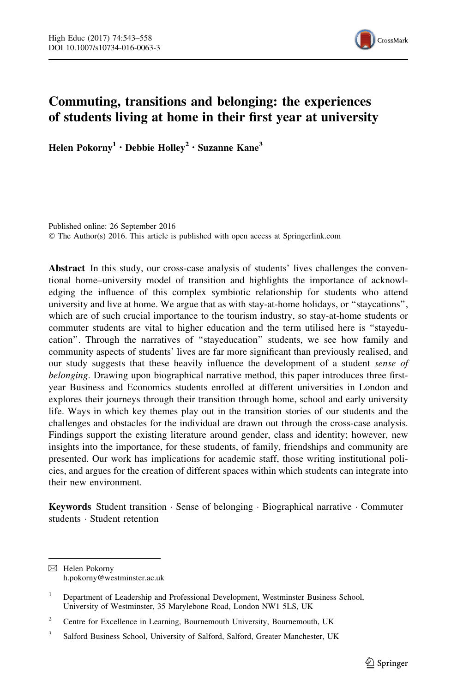

# Commuting, transitions and belonging: the experiences of students living at home in their first year at university

Helen Pokorny<sup>1</sup> · Debbie Holley<sup>2</sup> · Suzanne Kane<sup>3</sup>

Published online: 26 September 2016 © The Author(s) 2016. This article is published with open access at Springerlink.com

Abstract In this study, our cross-case analysis of students' lives challenges the conventional home–university model of transition and highlights the importance of acknowledging the influence of this complex symbiotic relationship for students who attend university and live at home. We argue that as with stay-at-home holidays, or ''staycations'', which are of such crucial importance to the tourism industry, so stay-at-home students or commuter students are vital to higher education and the term utilised here is ''stayeducation''. Through the narratives of ''stayeducation'' students, we see how family and community aspects of students' lives are far more significant than previously realised, and our study suggests that these heavily influence the development of a student sense of belonging. Drawing upon biographical narrative method, this paper introduces three firstyear Business and Economics students enrolled at different universities in London and explores their journeys through their transition through home, school and early university life. Ways in which key themes play out in the transition stories of our students and the challenges and obstacles for the individual are drawn out through the cross-case analysis. Findings support the existing literature around gender, class and identity; however, new insights into the importance, for these students, of family, friendships and community are presented. Our work has implications for academic staff, those writing institutional policies, and argues for the creation of different spaces within which students can integrate into their new environment.

Keywords Student transition · Sense of belonging · Biographical narrative · Commuter students - Student retention

<sup>&</sup>amp; Helen Pokorny h.pokorny@westminster.ac.uk

<sup>&</sup>lt;sup>1</sup> Department of Leadership and Professional Development, Westminster Business School, University of Westminster, 35 Marylebone Road, London NW1 5LS, UK

<sup>&</sup>lt;sup>2</sup> Centre for Excellence in Learning, Bournemouth University, Bournemouth, UK

<sup>&</sup>lt;sup>3</sup> Salford Business School, University of Salford, Salford, Greater Manchester, UK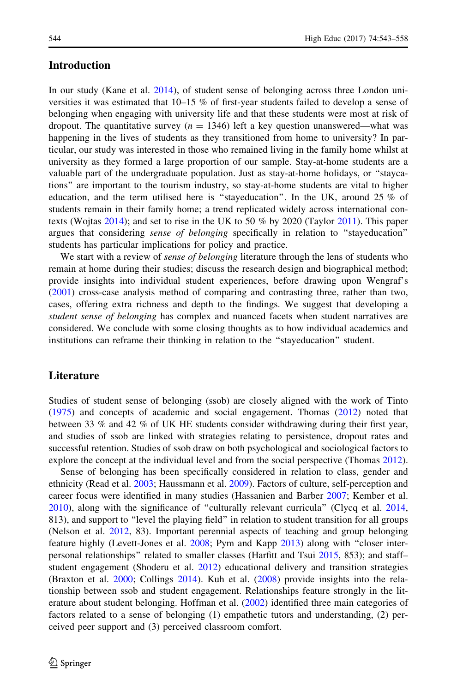# Introduction

In our study (Kane et al. [2014\)](#page-14-0), of student sense of belonging across three London universities it was estimated that 10–15 % of first-year students failed to develop a sense of belonging when engaging with university life and that these students were most at risk of dropout. The quantitative survey ( $n = 1346$ ) left a key question unanswered—what was happening in the lives of students as they transitioned from home to university? In particular, our study was interested in those who remained living in the family home whilst at university as they formed a large proportion of our sample. Stay-at-home students are a valuable part of the undergraduate population. Just as stay-at-home holidays, or ''staycations'' are important to the tourism industry, so stay-at-home students are vital to higher education, and the term utilised here is ''stayeducation''. In the UK, around 25 % of students remain in their family home; a trend replicated widely across international con-texts (Wojtas [2014](#page-15-0)); and set to rise in the UK to 50  $\%$  by 2020 (Taylor [2011\)](#page-15-0). This paper argues that considering *sense of belonging* specifically in relation to "stayeducation" students has particular implications for policy and practice.

We start with a review of *sense of belonging* literature through the lens of students who remain at home during their studies; discuss the research design and biographical method; provide insights into individual student experiences, before drawing upon Wengraf's ([2001\)](#page-15-0) cross-case analysis method of comparing and contrasting three, rather than two, cases, offering extra richness and depth to the findings. We suggest that developing a student sense of belonging has complex and nuanced facets when student narratives are considered. We conclude with some closing thoughts as to how individual academics and institutions can reframe their thinking in relation to the ''stayeducation'' student.

# **Literature**

Studies of student sense of belonging (ssob) are closely aligned with the work of Tinto ([1975\)](#page-15-0) and concepts of academic and social engagement. Thomas [\(2012](#page-15-0)) noted that between 33 % and 42 % of UK HE students consider withdrawing during their first year, and studies of ssob are linked with strategies relating to persistence, dropout rates and successful retention. Studies of ssob draw on both psychological and sociological factors to explore the concept at the individual level and from the social perspective (Thomas [2012](#page-15-0)).

Sense of belonging has been specifically considered in relation to class, gender and ethnicity (Read et al. [2003;](#page-14-0) Haussmann et al. [2009\)](#page-14-0). Factors of culture, self-perception and career focus were identified in many studies (Hassanien and Barber [2007](#page-14-0); Kember et al. [2010\)](#page-14-0), along with the significance of ''culturally relevant curricula'' (Clycq et al. [2014](#page-13-0), 813), and support to ''level the playing field'' in relation to student transition for all groups (Nelson et al. [2012](#page-14-0), 83). Important perennial aspects of teaching and group belonging feature highly (Levett-Jones et al. [2008;](#page-14-0) Pym and Kapp [2013\)](#page-14-0) along with ''closer interpersonal relationships'' related to smaller classes (Harfitt and Tsui [2015,](#page-14-0) 853); and staff– student engagement (Shoderu et al. [2012](#page-15-0)) educational delivery and transition strategies (Braxton et al. [2000;](#page-13-0) Collings [2014\)](#page-13-0). Kuh et al. ([2008](#page-14-0)) provide insights into the relationship between ssob and student engagement. Relationships feature strongly in the literature about student belonging. Hoffman et al. ([2002\)](#page-14-0) identified three main categories of factors related to a sense of belonging (1) empathetic tutors and understanding, (2) perceived peer support and (3) perceived classroom comfort.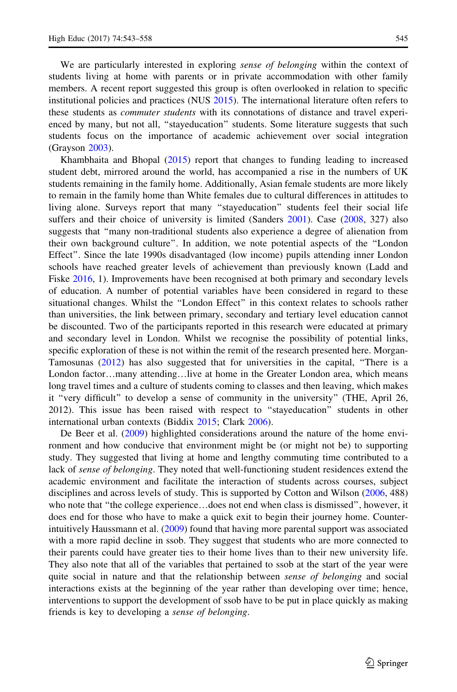We are particularly interested in exploring *sense of belonging* within the context of students living at home with parents or in private accommodation with other family members. A recent report suggested this group is often overlooked in relation to specific institutional policies and practices (NUS [2015](#page-14-0)). The international literature often refers to these students as *commuter students* with its connotations of distance and travel experienced by many, but not all, ''stayeducation'' students. Some literature suggests that such students focus on the importance of academic achievement over social integration (Grayson [2003](#page-14-0)).

Khambhaita and Bhopal [\(2015](#page-14-0)) report that changes to funding leading to increased student debt, mirrored around the world, has accompanied a rise in the numbers of UK students remaining in the family home. Additionally, Asian female students are more likely to remain in the family home than White females due to cultural differences in attitudes to living alone. Surveys report that many ''stayeducation'' students feel their social life suffers and their choice of university is limited (Sanders [2001\)](#page-15-0). Case ([2008,](#page-13-0) 327) also suggests that ''many non-traditional students also experience a degree of alienation from their own background culture''. In addition, we note potential aspects of the ''London Effect''. Since the late 1990s disadvantaged (low income) pupils attending inner London schools have reached greater levels of achievement than previously known (Ladd and Fiske [2016](#page-14-0), 1). Improvements have been recognised at both primary and secondary levels of education. A number of potential variables have been considered in regard to these situational changes. Whilst the ''London Effect'' in this context relates to schools rather than universities, the link between primary, secondary and tertiary level education cannot be discounted. Two of the participants reported in this research were educated at primary and secondary level in London. Whilst we recognise the possibility of potential links, specific exploration of these is not within the remit of the research presented here. Morgan-Tamosunas ([2012\)](#page-14-0) has also suggested that for universities in the capital, ''There is a London factor…many attending…live at home in the Greater London area, which means long travel times and a culture of students coming to classes and then leaving, which makes it ''very difficult'' to develop a sense of community in the university'' (THE, April 26, 2012). This issue has been raised with respect to ''stayeducation'' students in other international urban contexts (Biddix [2015;](#page-13-0) Clark [2006\)](#page-13-0).

De Beer et al. ([2009\)](#page-14-0) highlighted considerations around the nature of the home environment and how conducive that environment might be (or might not be) to supporting study. They suggested that living at home and lengthy commuting time contributed to a lack of *sense of belonging*. They noted that well-functioning student residences extend the academic environment and facilitate the interaction of students across courses, subject disciplines and across levels of study. This is supported by Cotton and Wilson [\(2006](#page-14-0), 488) who note that ''the college experience…does not end when class is dismissed'', however, it does end for those who have to make a quick exit to begin their journey home. Counterintuitively Haussmann et al. [\(2009](#page-14-0)) found that having more parental support was associated with a more rapid decline in ssob. They suggest that students who are more connected to their parents could have greater ties to their home lives than to their new university life. They also note that all of the variables that pertained to ssob at the start of the year were quite social in nature and that the relationship between *sense of belonging* and social interactions exists at the beginning of the year rather than developing over time; hence, interventions to support the development of ssob have to be put in place quickly as making friends is key to developing a *sense of belonging*.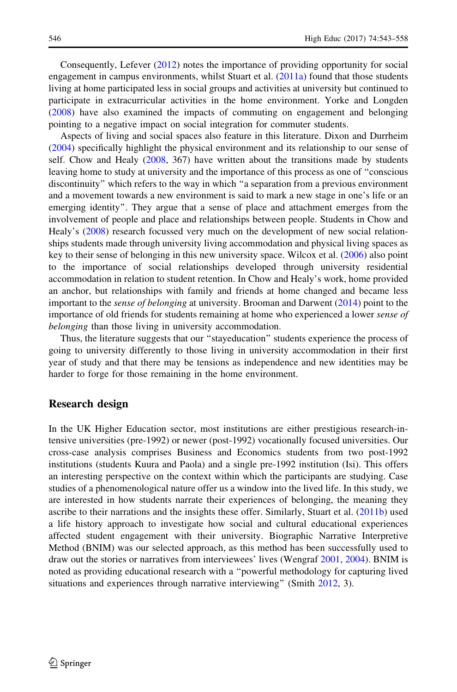Consequently, Lefever [\(2012\)](#page-14-0) notes the importance of providing opportunity for social engagement in campus environments, whilst Stuart et al. ([2011a\)](#page-15-0) found that those students living at home participated less in social groups and activities at university but continued to participate in extracurricular activities in the home environment. Yorke and Longden ([2008\)](#page-15-0) have also examined the impacts of commuting on engagement and belonging pointing to a negative impact on social integration for commuter students.

Aspects of living and social spaces also feature in this literature. Dixon and Durrheim ([2004\)](#page-14-0) specifically highlight the physical environment and its relationship to our sense of self. Chow and Healy ([2008](#page-13-0), 367) have written about the transitions made by students leaving home to study at university and the importance of this process as one of ''conscious discontinuity'' which refers to the way in which ''a separation from a previous environment and a movement towards a new environment is said to mark a new stage in one's life or an emerging identity''. They argue that a sense of place and attachment emerges from the involvement of people and place and relationships between people. Students in Chow and Healy's ([2008\)](#page-13-0) research focussed very much on the development of new social relationships students made through university living accommodation and physical living spaces as key to their sense of belonging in this new university space. Wilcox et al. ([2006\)](#page-15-0) also point to the importance of social relationships developed through university residential accommodation in relation to student retention. In Chow and Healy's work, home provided an anchor, but relationships with family and friends at home changed and became less important to the sense of belonging at university. Brooman and Darwent [\(2014](#page-13-0)) point to the importance of old friends for students remaining at home who experienced a lower *sense of* belonging than those living in university accommodation.

Thus, the literature suggests that our ''stayeducation'' students experience the process of going to university differently to those living in university accommodation in their first year of study and that there may be tensions as independence and new identities may be harder to forge for those remaining in the home environment.

#### Research design

In the UK Higher Education sector, most institutions are either prestigious research-intensive universities (pre-1992) or newer (post-1992) vocationally focused universities. Our cross-case analysis comprises Business and Economics students from two post-1992 institutions (students Kuura and Paola) and a single pre-1992 institution (Isi). This offers an interesting perspective on the context within which the participants are studying. Case studies of a phenomenological nature offer us a window into the lived life. In this study, we are interested in how students narrate their experiences of belonging, the meaning they ascribe to their narrations and the insights these offer. Similarly, Stuart et al. ([2011b](#page-15-0)) used a life history approach to investigate how social and cultural educational experiences affected student engagement with their university. Biographic Narrative Interpretive Method (BNIM) was our selected approach, as this method has been successfully used to draw out the stories or narratives from interviewees' lives (Wengraf [2001](#page-15-0), [2004](#page-15-0)). BNIM is noted as providing educational research with a ''powerful methodology for capturing lived situations and experiences through narrative interviewing" (Smith [2012,](#page-15-0) 3).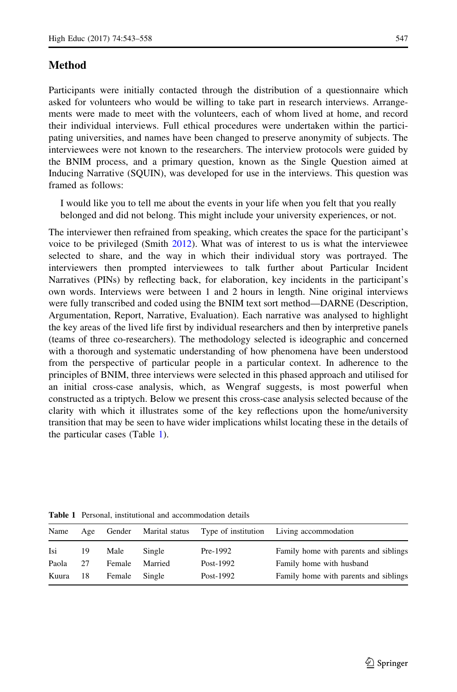# Method

Participants were initially contacted through the distribution of a questionnaire which asked for volunteers who would be willing to take part in research interviews. Arrangements were made to meet with the volunteers, each of whom lived at home, and record their individual interviews. Full ethical procedures were undertaken within the participating universities, and names have been changed to preserve anonymity of subjects. The interviewees were not known to the researchers. The interview protocols were guided by the BNIM process, and a primary question, known as the Single Question aimed at Inducing Narrative (SQUIN), was developed for use in the interviews. This question was framed as follows:

I would like you to tell me about the events in your life when you felt that you really belonged and did not belong. This might include your university experiences, or not.

The interviewer then refrained from speaking, which creates the space for the participant's voice to be privileged (Smith [2012](#page-15-0)). What was of interest to us is what the interviewee selected to share, and the way in which their individual story was portrayed. The interviewers then prompted interviewees to talk further about Particular Incident Narratives (PINs) by reflecting back, for elaboration, key incidents in the participant's own words. Interviews were between 1 and 2 hours in length. Nine original interviews were fully transcribed and coded using the BNIM text sort method—DARNE (Description, Argumentation, Report, Narrative, Evaluation). Each narrative was analysed to highlight the key areas of the lived life first by individual researchers and then by interpretive panels (teams of three co-researchers). The methodology selected is ideographic and concerned with a thorough and systematic understanding of how phenomena have been understood from the perspective of particular people in a particular context. In adherence to the principles of BNIM, three interviews were selected in this phased approach and utilised for an initial cross-case analysis, which, as Wengraf suggests, is most powerful when constructed as a triptych. Below we present this cross-case analysis selected because of the clarity with which it illustrates some of the key reflections upon the home/university transition that may be seen to have wider implications whilst locating these in the details of the particular cases (Table 1).

| Name  | Age | Gender | Marital status | Type of institution | Living accommodation                  |
|-------|-----|--------|----------------|---------------------|---------------------------------------|
| Isi   | 19  | Male   | Single         | Pre-1992            | Family home with parents and siblings |
| Paola | 27  | Female | Married        | Post-1992           | Family home with husband              |
| Kuura | 18  | Female | Single         | Post-1992           | Family home with parents and siblings |

Table 1 Personal, institutional and accommodation details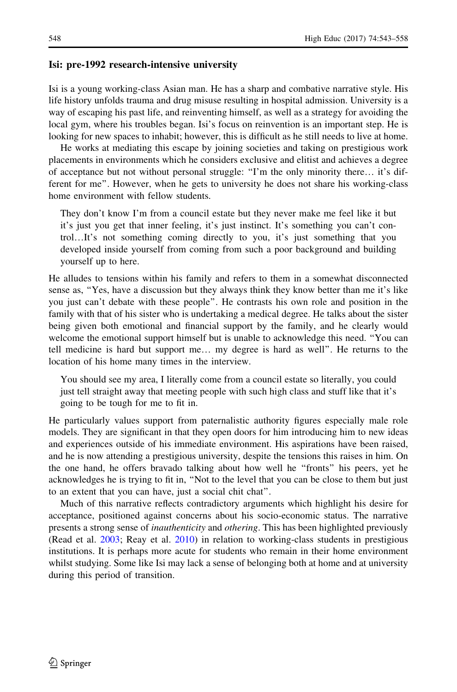#### Isi: pre-1992 research-intensive university

Isi is a young working-class Asian man. He has a sharp and combative narrative style. His life history unfolds trauma and drug misuse resulting in hospital admission. University is a way of escaping his past life, and reinventing himself, as well as a strategy for avoiding the local gym, where his troubles began. Isi's focus on reinvention is an important step. He is looking for new spaces to inhabit; however, this is difficult as he still needs to live at home.

He works at mediating this escape by joining societies and taking on prestigious work placements in environments which he considers exclusive and elitist and achieves a degree of acceptance but not without personal struggle: ''I'm the only minority there… it's different for me''. However, when he gets to university he does not share his working-class home environment with fellow students.

They don't know I'm from a council estate but they never make me feel like it but it's just you get that inner feeling, it's just instinct. It's something you can't control…It's not something coming directly to you, it's just something that you developed inside yourself from coming from such a poor background and building yourself up to here.

He alludes to tensions within his family and refers to them in a somewhat disconnected sense as, "Yes, have a discussion but they always think they know better than me it's like you just can't debate with these people''. He contrasts his own role and position in the family with that of his sister who is undertaking a medical degree. He talks about the sister being given both emotional and financial support by the family, and he clearly would welcome the emotional support himself but is unable to acknowledge this need. ''You can tell medicine is hard but support me… my degree is hard as well''. He returns to the location of his home many times in the interview.

You should see my area, I literally come from a council estate so literally, you could just tell straight away that meeting people with such high class and stuff like that it's going to be tough for me to fit in.

He particularly values support from paternalistic authority figures especially male role models. They are significant in that they open doors for him introducing him to new ideas and experiences outside of his immediate environment. His aspirations have been raised, and he is now attending a prestigious university, despite the tensions this raises in him. On the one hand, he offers bravado talking about how well he ''fronts'' his peers, yet he acknowledges he is trying to fit in, ''Not to the level that you can be close to them but just to an extent that you can have, just a social chit chat''.

Much of this narrative reflects contradictory arguments which highlight his desire for acceptance, positioned against concerns about his socio-economic status. The narrative presents a strong sense of *inauthenticity* and *othering*. This has been highlighted previously (Read et al. [2003](#page-14-0); Reay et al. [2010](#page-14-0)) in relation to working-class students in prestigious institutions. It is perhaps more acute for students who remain in their home environment whilst studying. Some like Isi may lack a sense of belonging both at home and at university during this period of transition.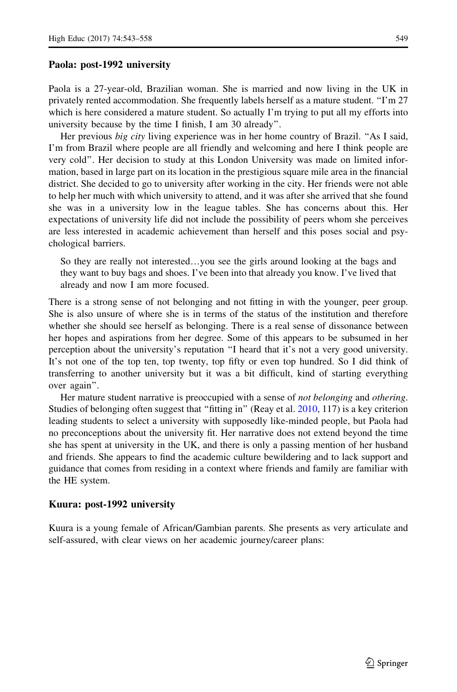#### Paola: post-1992 university

Paola is a 27-year-old, Brazilian woman. She is married and now living in the UK in privately rented accommodation. She frequently labels herself as a mature student. ''I'm 27 which is here considered a mature student. So actually I'm trying to put all my efforts into university because by the time I finish, I am 30 already''.

Her previous big city living experience was in her home country of Brazil. "As I said, I'm from Brazil where people are all friendly and welcoming and here I think people are very cold''. Her decision to study at this London University was made on limited information, based in large part on its location in the prestigious square mile area in the financial district. She decided to go to university after working in the city. Her friends were not able to help her much with which university to attend, and it was after she arrived that she found she was in a university low in the league tables. She has concerns about this. Her expectations of university life did not include the possibility of peers whom she perceives are less interested in academic achievement than herself and this poses social and psychological barriers.

So they are really not interested…you see the girls around looking at the bags and they want to buy bags and shoes. I've been into that already you know. I've lived that already and now I am more focused.

There is a strong sense of not belonging and not fitting in with the younger, peer group. She is also unsure of where she is in terms of the status of the institution and therefore whether she should see herself as belonging. There is a real sense of dissonance between her hopes and aspirations from her degree. Some of this appears to be subsumed in her perception about the university's reputation ''I heard that it's not a very good university. It's not one of the top ten, top twenty, top fifty or even top hundred. So I did think of transferring to another university but it was a bit difficult, kind of starting everything over again''.

Her mature student narrative is preoccupied with a sense of *not belonging* and *othering*. Studies of belonging often suggest that "fitting in" (Reay et al. [2010](#page-14-0), 117) is a key criterion leading students to select a university with supposedly like-minded people, but Paola had no preconceptions about the university fit. Her narrative does not extend beyond the time she has spent at university in the UK, and there is only a passing mention of her husband and friends. She appears to find the academic culture bewildering and to lack support and guidance that comes from residing in a context where friends and family are familiar with the HE system.

# Kuura: post-1992 university

Kuura is a young female of African/Gambian parents. She presents as very articulate and self-assured, with clear views on her academic journey/career plans: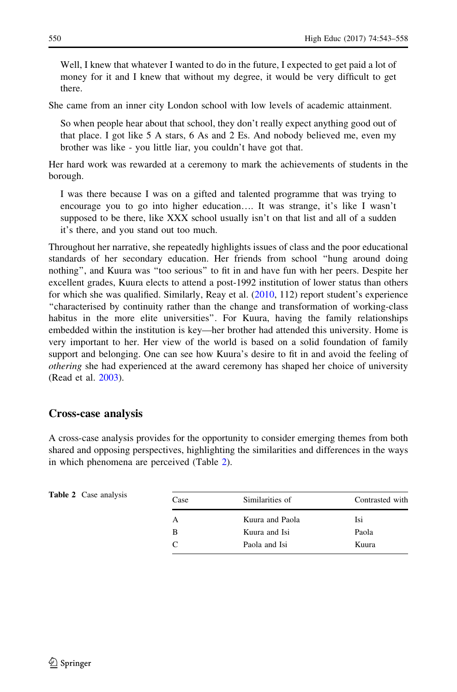Well, I knew that whatever I wanted to do in the future, I expected to get paid a lot of money for it and I knew that without my degree, it would be very difficult to get there.

She came from an inner city London school with low levels of academic attainment.

So when people hear about that school, they don't really expect anything good out of that place. I got like 5 A stars, 6 As and 2 Es. And nobody believed me, even my brother was like - you little liar, you couldn't have got that.

Her hard work was rewarded at a ceremony to mark the achievements of students in the borough.

I was there because I was on a gifted and talented programme that was trying to encourage you to go into higher education…. It was strange, it's like I wasn't supposed to be there, like XXX school usually isn't on that list and all of a sudden it's there, and you stand out too much.

Throughout her narrative, she repeatedly highlights issues of class and the poor educational standards of her secondary education. Her friends from school ''hung around doing nothing'', and Kuura was ''too serious'' to fit in and have fun with her peers. Despite her excellent grades, Kuura elects to attend a post-1992 institution of lower status than others for which she was qualified. Similarly, Reay et al. [\(2010,](#page-14-0) 112) report student's experience ''characterised by continuity rather than the change and transformation of working-class habitus in the more elite universities''. For Kuura, having the family relationships embedded within the institution is key—her brother had attended this university. Home is very important to her. Her view of the world is based on a solid foundation of family support and belonging. One can see how Kuura's desire to fit in and avoid the feeling of othering she had experienced at the award ceremony has shaped her choice of university (Read et al. [2003\)](#page-14-0).

#### Cross-case analysis

A cross-case analysis provides for the opportunity to consider emerging themes from both shared and opposing perspectives, highlighting the similarities and differences in the ways in which phenomena are perceived (Table 2).

| <b>Table 2</b> Case analysis | Case   | Similarities of                  | Contrasted with |  |
|------------------------------|--------|----------------------------------|-----------------|--|
|                              | А<br>в | Kuura and Paola<br>Kuura and Isi | Isi<br>Paola    |  |
|                              | C      | Paola and Isi                    | Kuura           |  |
|                              |        |                                  |                 |  |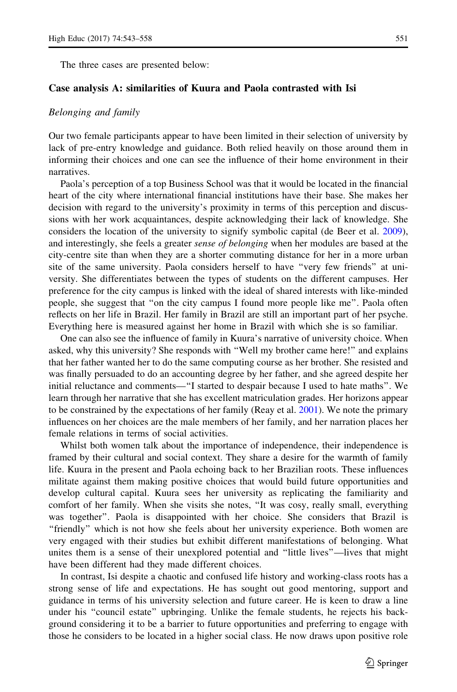The three cases are presented below:

#### Case analysis A: similarities of Kuura and Paola contrasted with Isi

#### Belonging and family

Our two female participants appear to have been limited in their selection of university by lack of pre-entry knowledge and guidance. Both relied heavily on those around them in informing their choices and one can see the influence of their home environment in their narratives.

Paola's perception of a top Business School was that it would be located in the financial heart of the city where international financial institutions have their base. She makes her decision with regard to the university's proximity in terms of this perception and discussions with her work acquaintances, despite acknowledging their lack of knowledge. She considers the location of the university to signify symbolic capital (de Beer et al. [2009](#page-14-0)), and interestingly, she feels a greater *sense of belonging* when her modules are based at the city-centre site than when they are a shorter commuting distance for her in a more urban site of the same university. Paola considers herself to have ''very few friends'' at university. She differentiates between the types of students on the different campuses. Her preference for the city campus is linked with the ideal of shared interests with like-minded people, she suggest that ''on the city campus I found more people like me''. Paola often reflects on her life in Brazil. Her family in Brazil are still an important part of her psyche. Everything here is measured against her home in Brazil with which she is so familiar.

One can also see the influence of family in Kuura's narrative of university choice. When asked, why this university? She responds with ''Well my brother came here!'' and explains that her father wanted her to do the same computing course as her brother. She resisted and was finally persuaded to do an accounting degree by her father, and she agreed despite her initial reluctance and comments—''I started to despair because I used to hate maths''. We learn through her narrative that she has excellent matriculation grades. Her horizons appear to be constrained by the expectations of her family (Reay et al. [2001](#page-15-0)). We note the primary influences on her choices are the male members of her family, and her narration places her female relations in terms of social activities.

Whilst both women talk about the importance of independence, their independence is framed by their cultural and social context. They share a desire for the warmth of family life. Kuura in the present and Paola echoing back to her Brazilian roots. These influences militate against them making positive choices that would build future opportunities and develop cultural capital. Kuura sees her university as replicating the familiarity and comfort of her family. When she visits she notes, ''It was cosy, really small, everything was together''. Paola is disappointed with her choice. She considers that Brazil is ''friendly'' which is not how she feels about her university experience. Both women are very engaged with their studies but exhibit different manifestations of belonging. What unites them is a sense of their unexplored potential and ''little lives''—lives that might have been different had they made different choices.

In contrast, Isi despite a chaotic and confused life history and working-class roots has a strong sense of life and expectations. He has sought out good mentoring, support and guidance in terms of his university selection and future career. He is keen to draw a line under his "council estate" upbringing. Unlike the female students, he rejects his background considering it to be a barrier to future opportunities and preferring to engage with those he considers to be located in a higher social class. He now draws upon positive role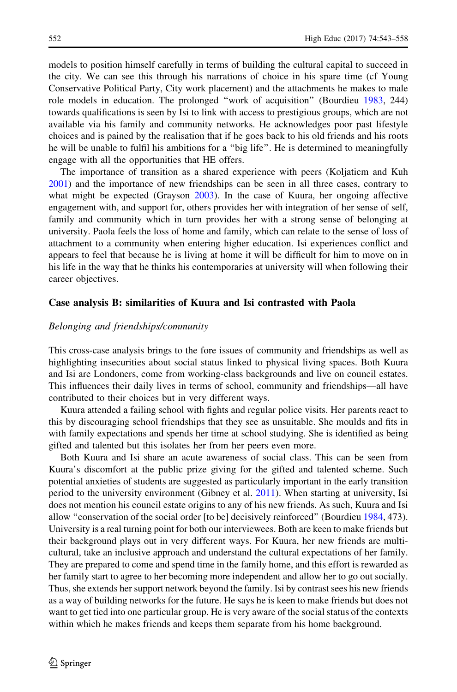models to position himself carefully in terms of building the cultural capital to succeed in the city. We can see this through his narrations of choice in his spare time (cf Young Conservative Political Party, City work placement) and the attachments he makes to male role models in education. The prolonged "work of acquisition" (Bourdieu [1983,](#page-13-0) 244) towards qualifications is seen by Isi to link with access to prestigious groups, which are not available via his family and community networks. He acknowledges poor past lifestyle choices and is pained by the realisation that if he goes back to his old friends and his roots he will be unable to fulfil his ambitions for a ''big life''. He is determined to meaningfully engage with all the opportunities that HE offers.

The importance of transition as a shared experience with peers (Koljaticm and Kuh [2001\)](#page-14-0) and the importance of new friendships can be seen in all three cases, contrary to what might be expected (Grayson [2003](#page-14-0)). In the case of Kuura, her ongoing affective engagement with, and support for, others provides her with integration of her sense of self, family and community which in turn provides her with a strong sense of belonging at university. Paola feels the loss of home and family, which can relate to the sense of loss of attachment to a community when entering higher education. Isi experiences conflict and appears to feel that because he is living at home it will be difficult for him to move on in his life in the way that he thinks his contemporaries at university will when following their career objectives.

#### Case analysis B: similarities of Kuura and Isi contrasted with Paola

#### Belonging and friendships/community

This cross-case analysis brings to the fore issues of community and friendships as well as highlighting insecurities about social status linked to physical living spaces. Both Kuura and Isi are Londoners, come from working-class backgrounds and live on council estates. This influences their daily lives in terms of school, community and friendships—all have contributed to their choices but in very different ways.

Kuura attended a failing school with fights and regular police visits. Her parents react to this by discouraging school friendships that they see as unsuitable. She moulds and fits in with family expectations and spends her time at school studying. She is identified as being gifted and talented but this isolates her from her peers even more.

Both Kuura and Isi share an acute awareness of social class. This can be seen from Kuura's discomfort at the public prize giving for the gifted and talented scheme. Such potential anxieties of students are suggested as particularly important in the early transition period to the university environment (Gibney et al. [2011\)](#page-14-0). When starting at university, Isi does not mention his council estate origins to any of his new friends. As such, Kuura and Isi allow "conservation of the social order [to be] decisively reinforced" (Bourdieu [1984,](#page-13-0) 473). University is a real turning point for both our interviewees. Both are keen to make friends but their background plays out in very different ways. For Kuura, her new friends are multicultural, take an inclusive approach and understand the cultural expectations of her family. They are prepared to come and spend time in the family home, and this effort is rewarded as her family start to agree to her becoming more independent and allow her to go out socially. Thus, she extends her support network beyond the family. Isi by contrast sees his new friends as a way of building networks for the future. He says he is keen to make friends but does not want to get tied into one particular group. He is very aware of the social status of the contexts within which he makes friends and keeps them separate from his home background.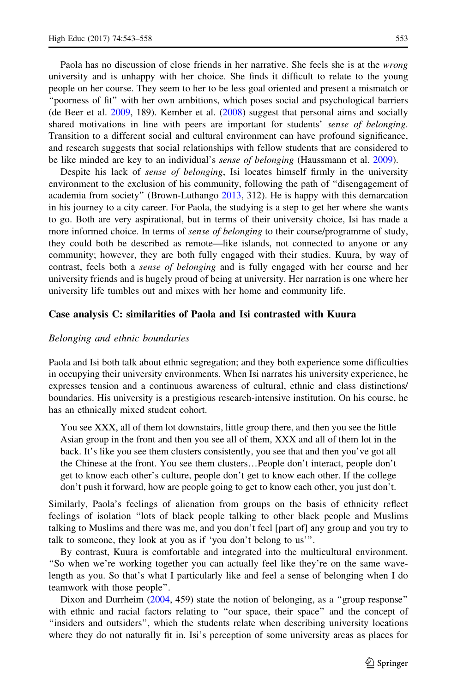Paola has no discussion of close friends in her narrative. She feels she is at the wrong university and is unhappy with her choice. She finds it difficult to relate to the young people on her course. They seem to her to be less goal oriented and present a mismatch or ''poorness of fit'' with her own ambitions, which poses social and psychological barriers (de Beer et al. [2009](#page-14-0), 189). Kember et al. [\(2008](#page-14-0)) suggest that personal aims and socially shared motivations in line with peers are important for students' sense of belonging. Transition to a different social and cultural environment can have profound significance, and research suggests that social relationships with fellow students that are considered to be like minded are key to an individual's *sense of belonging* (Haussmann et al. [2009\)](#page-14-0).

Despite his lack of *sense of belonging*, Isi locates himself firmly in the university environment to the exclusion of his community, following the path of ''disengagement of academia from society'' (Brown-Luthango [2013](#page-13-0), 312). He is happy with this demarcation in his journey to a city career. For Paola, the studying is a step to get her where she wants to go. Both are very aspirational, but in terms of their university choice, Isi has made a more informed choice. In terms of *sense of belonging* to their course/programme of study, they could both be described as remote—like islands, not connected to anyone or any community; however, they are both fully engaged with their studies. Kuura, by way of contrast, feels both a sense of belonging and is fully engaged with her course and her university friends and is hugely proud of being at university. Her narration is one where her university life tumbles out and mixes with her home and community life.

#### Case analysis C: similarities of Paola and Isi contrasted with Kuura

#### Belonging and ethnic boundaries

Paola and Isi both talk about ethnic segregation; and they both experience some difficulties in occupying their university environments. When Isi narrates his university experience, he expresses tension and a continuous awareness of cultural, ethnic and class distinctions/ boundaries. His university is a prestigious research-intensive institution. On his course, he has an ethnically mixed student cohort.

You see XXX, all of them lot downstairs, little group there, and then you see the little Asian group in the front and then you see all of them, XXX and all of them lot in the back. It's like you see them clusters consistently, you see that and then you've got all the Chinese at the front. You see them clusters…People don't interact, people don't get to know each other's culture, people don't get to know each other. If the college don't push it forward, how are people going to get to know each other, you just don't.

Similarly, Paola's feelings of alienation from groups on the basis of ethnicity reflect feelings of isolation ''lots of black people talking to other black people and Muslims talking to Muslims and there was me, and you don't feel [part of] any group and you try to talk to someone, they look at you as if 'you don't belong to us'''.

By contrast, Kuura is comfortable and integrated into the multicultural environment. ''So when we're working together you can actually feel like they're on the same wavelength as you. So that's what I particularly like and feel a sense of belonging when I do teamwork with those people''.

Dixon and Durrheim ([2004](#page-14-0), 459) state the notion of belonging, as a "group response" with ethnic and racial factors relating to "our space, their space" and the concept of ''insiders and outsiders'', which the students relate when describing university locations where they do not naturally fit in. Isi's perception of some university areas as places for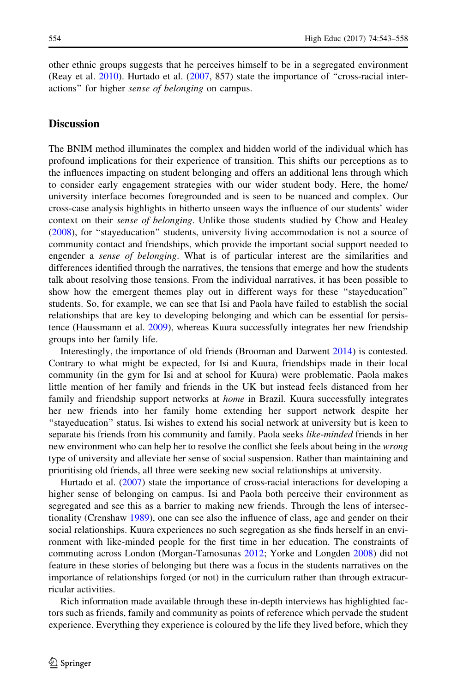other ethnic groups suggests that he perceives himself to be in a segregated environment (Reay et al. [2010](#page-14-0)). Hurtado et al. ([2007](#page-14-0), 857) state the importance of ''cross-racial interactions'' for higher sense of belonging on campus.

# **Discussion**

The BNIM method illuminates the complex and hidden world of the individual which has profound implications for their experience of transition. This shifts our perceptions as to the influences impacting on student belonging and offers an additional lens through which to consider early engagement strategies with our wider student body. Here, the home/ university interface becomes foregrounded and is seen to be nuanced and complex. Our cross-case analysis highlights in hitherto unseen ways the influence of our students' wider context on their *sense of belonging*. Unlike those students studied by Chow and Healey ([2008\)](#page-13-0), for ''stayeducation'' students, university living accommodation is not a source of community contact and friendships, which provide the important social support needed to engender a *sense of belonging*. What is of particular interest are the similarities and differences identified through the narratives, the tensions that emerge and how the students talk about resolving those tensions. From the individual narratives, it has been possible to show how the emergent themes play out in different ways for these ''stayeducation'' students. So, for example, we can see that Isi and Paola have failed to establish the social relationships that are key to developing belonging and which can be essential for persistence (Haussmann et al. [2009](#page-14-0)), whereas Kuura successfully integrates her new friendship groups into her family life.

Interestingly, the importance of old friends (Brooman and Darwent [2014](#page-13-0)) is contested. Contrary to what might be expected, for Isi and Kuura, friendships made in their local community (in the gym for Isi and at school for Kuura) were problematic. Paola makes little mention of her family and friends in the UK but instead feels distanced from her family and friendship support networks at *home* in Brazil. Kuura successfully integrates her new friends into her family home extending her support network despite her ''stayeducation'' status. Isi wishes to extend his social network at university but is keen to separate his friends from his community and family. Paola seeks *like-minded* friends in her new environment who can help her to resolve the conflict she feels about being in the *wrong* type of university and alleviate her sense of social suspension. Rather than maintaining and prioritising old friends, all three were seeking new social relationships at university.

Hurtado et al. ([2007\)](#page-14-0) state the importance of cross-racial interactions for developing a higher sense of belonging on campus. Isi and Paola both perceive their environment as segregated and see this as a barrier to making new friends. Through the lens of intersectionality (Crenshaw [1989\)](#page-14-0), one can see also the influence of class, age and gender on their social relationships. Kuura experiences no such segregation as she finds herself in an environment with like-minded people for the first time in her education. The constraints of commuting across London (Morgan-Tamosunas [2012;](#page-14-0) Yorke and Longden [2008\)](#page-15-0) did not feature in these stories of belonging but there was a focus in the students narratives on the importance of relationships forged (or not) in the curriculum rather than through extracurricular activities.

Rich information made available through these in-depth interviews has highlighted factors such as friends, family and community as points of reference which pervade the student experience. Everything they experience is coloured by the life they lived before, which they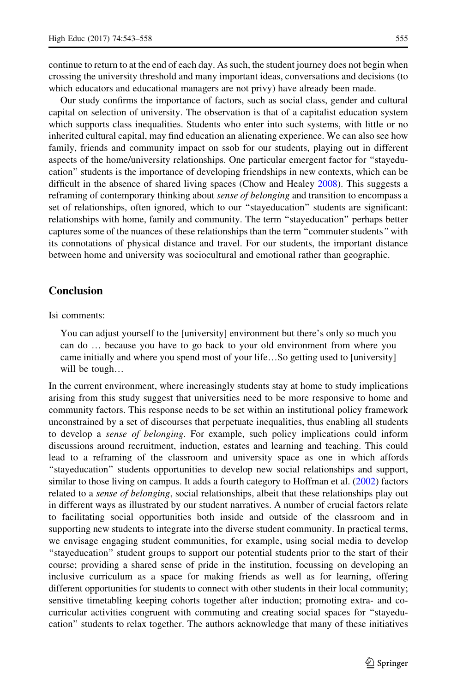continue to return to at the end of each day. As such, the student journey does not begin when crossing the university threshold and many important ideas, conversations and decisions (to which educators and educational managers are not privy) have already been made.

Our study confirms the importance of factors, such as social class, gender and cultural capital on selection of university. The observation is that of a capitalist education system which supports class inequalities. Students who enter into such systems, with little or no inherited cultural capital, may find education an alienating experience. We can also see how family, friends and community impact on ssob for our students, playing out in different aspects of the home/university relationships. One particular emergent factor for ''stayeducation'' students is the importance of developing friendships in new contexts, which can be difficult in the absence of shared living spaces (Chow and Healey [2008\)](#page-13-0). This suggests a reframing of contemporary thinking about *sense of belonging* and transition to encompass a set of relationships, often ignored, which to our ''stayeducation'' students are significant: relationships with home, family and community. The term ''stayeducation'' perhaps better captures some of the nuances of these relationships than the term ''commuter students'' with its connotations of physical distance and travel. For our students, the important distance between home and university was sociocultural and emotional rather than geographic.

# Conclusion

Isi comments:

You can adjust yourself to the [university] environment but there's only so much you can do … because you have to go back to your old environment from where you came initially and where you spend most of your life…So getting used to [university] will be tough…

In the current environment, where increasingly students stay at home to study implications arising from this study suggest that universities need to be more responsive to home and community factors. This response needs to be set within an institutional policy framework unconstrained by a set of discourses that perpetuate inequalities, thus enabling all students to develop a sense of belonging. For example, such policy implications could inform discussions around recruitment, induction, estates and learning and teaching. This could lead to a reframing of the classroom and university space as one in which affords ''stayeducation'' students opportunities to develop new social relationships and support, similar to those living on campus. It adds a fourth category to Hoffman et al. [\(2002](#page-14-0)) factors related to a *sense of belonging*, social relationships, albeit that these relationships play out in different ways as illustrated by our student narratives. A number of crucial factors relate to facilitating social opportunities both inside and outside of the classroom and in supporting new students to integrate into the diverse student community. In practical terms, we envisage engaging student communities, for example, using social media to develop ''stayeducation'' student groups to support our potential students prior to the start of their course; providing a shared sense of pride in the institution, focussing on developing an inclusive curriculum as a space for making friends as well as for learning, offering different opportunities for students to connect with other students in their local community; sensitive timetabling keeping cohorts together after induction; promoting extra- and cocurricular activities congruent with commuting and creating social spaces for ''stayeducation'' students to relax together. The authors acknowledge that many of these initiatives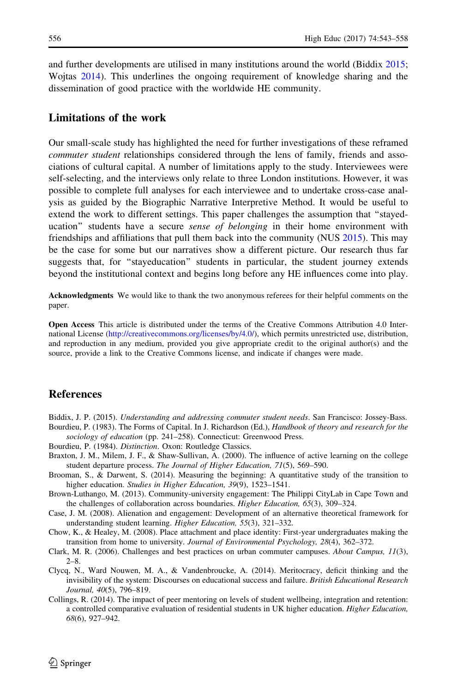<span id="page-13-0"></span>and further developments are utilised in many institutions around the world (Biddix 2015; Wojtas [2014\)](#page-15-0). This underlines the ongoing requirement of knowledge sharing and the dissemination of good practice with the worldwide HE community.

## Limitations of the work

Our small-scale study has highlighted the need for further investigations of these reframed commuter student relationships considered through the lens of family, friends and associations of cultural capital. A number of limitations apply to the study. Interviewees were self-selecting, and the interviews only relate to three London institutions. However, it was possible to complete full analyses for each interviewee and to undertake cross-case analysis as guided by the Biographic Narrative Interpretive Method. It would be useful to extend the work to different settings. This paper challenges the assumption that ''stayeducation" students have a secure sense of belonging in their home environment with friendships and affiliations that pull them back into the community (NUS [2015\)](#page-14-0). This may be the case for some but our narratives show a different picture. Our research thus far suggests that, for ''stayeducation'' students in particular, the student journey extends beyond the institutional context and begins long before any HE influences come into play.

Acknowledgments We would like to thank the two anonymous referees for their helpful comments on the paper.

Open Access This article is distributed under the terms of the Creative Commons Attribution 4.0 International License [\(http://creativecommons.org/licenses/by/4.0/\)](http://creativecommons.org/licenses/by/4.0/), which permits unrestricted use, distribution, and reproduction in any medium, provided you give appropriate credit to the original author(s) and the source, provide a link to the Creative Commons license, and indicate if changes were made.

# References

- Biddix, J. P. (2015). Understanding and addressing commuter student needs. San Francisco: Jossey-Bass. Bourdieu, P. (1983). The Forms of Capital. In J. Richardson (Ed.), Handbook of theory and research for the
- sociology of education (pp. 241–258). Connecticut: Greenwood Press.
- Bourdieu, P. (1984). Distinction. Oxon: Routledge Classics.
- Braxton, J. M., Milem, J. F., & Shaw-Sullivan, A. (2000). The influence of active learning on the college student departure process. The Journal of Higher Education, 71(5), 569-590.
- Brooman, S., & Darwent, S. (2014). Measuring the beginning: A quantitative study of the transition to higher education. Studies in Higher Education, 39(9), 1523–1541.
- Brown-Luthango, M. (2013). Community-university engagement: The Philippi CityLab in Cape Town and the challenges of collaboration across boundaries. Higher Education, 65(3), 309–324.
- Case, J. M. (2008). Alienation and engagement: Development of an alternative theoretical framework for understanding student learning. Higher Education, 55(3), 321–332.
- Chow, K., & Healey, M. (2008). Place attachment and place identity: First-year undergraduates making the transition from home to university. Journal of Environmental Psychology, 28(4), 362–372.
- Clark, M. R. (2006). Challenges and best practices on urban commuter campuses. About Campus, 11(3), 2–8.
- Clycq, N., Ward Nouwen, M. A., & Vandenbroucke, A. (2014). Meritocracy, deficit thinking and the invisibility of the system: Discourses on educational success and failure. British Educational Research Journal, 40(5), 796–819.
- Collings, R. (2014). The impact of peer mentoring on levels of student wellbeing, integration and retention: a controlled comparative evaluation of residential students in UK higher education. Higher Education, 68(6), 927–942.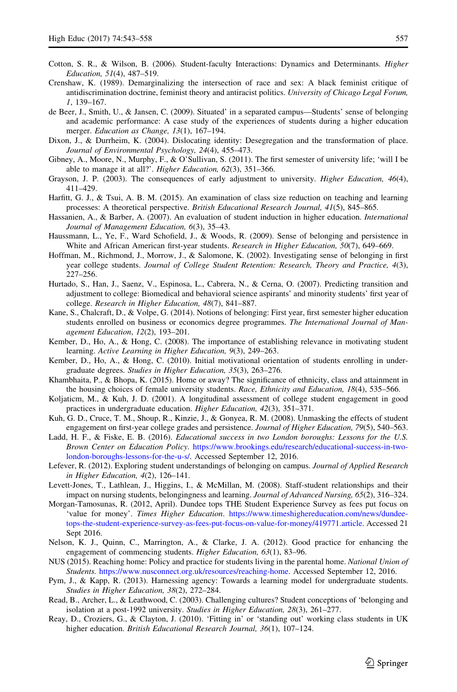- <span id="page-14-0"></span>Cotton, S. R., & Wilson, B. (2006). Student-faculty Interactions: Dynamics and Determinants. Higher Education, 51(4), 487–519.
- Crenshaw, K. (1989). Demarginalizing the intersection of race and sex: A black feminist critique of antidiscrimination doctrine, feminist theory and antiracist politics. University of Chicago Legal Forum, 1, 139–167.
- de Beer, J., Smith, U., & Jansen, C. (2009). Situated' in a separated campus—Students' sense of belonging and academic performance: A case study of the experiences of students during a higher education merger. Education as Change, 13(1), 167-194.
- Dixon, J., & Durrheim, K. (2004). Dislocating identity: Desegregation and the transformation of place. Journal of Environmental Psychology, 24(4), 455–473.
- Gibney, A., Moore, N., Murphy, F., & O'Sullivan, S. (2011). The first semester of university life; 'will I be able to manage it at all?'. Higher Education, 62(3), 351–366.
- Grayson, J. P. (2003). The consequences of early adjustment to university. Higher Education, 46(4), 411–429.
- Harfitt, G. J., & Tsui, A. B. M. (2015). An examination of class size reduction on teaching and learning processes: A theoretical perspective. British Educational Research Journal, 41(5), 845–865.
- Hassanien, A., & Barber, A. (2007). An evaluation of student induction in higher education. International Journal of Management Education, 6(3), 35–43.
- Haussmann, L., Ye, F., Ward Schofield, J., & Woods, R. (2009). Sense of belonging and persistence in White and African American first-year students. Research in Higher Education, 50(7), 649–669.
- Hoffman, M., Richmond, J., Morrow, J., & Salomone, K. (2002). Investigating sense of belonging in first year college students. Journal of College Student Retention: Research, Theory and Practice, 4(3), 227–256.
- Hurtado, S., Han, J., Saenz, V., Espinosa, L., Cabrera, N., & Cerna, O. (2007). Predicting transition and adjustment to college: Biomedical and behavioral science aspirants' and minority students' first year of college. Research in Higher Education, 48(7), 841–887.
- Kane, S., Chalcraft, D., & Volpe, G. (2014). Notions of belonging: First year, first semester higher education students enrolled on business or economics degree programmes. The International Journal of Management Education, 12(2), 193–201.
- Kember, D., Ho, A., & Hong, C. (2008). The importance of establishing relevance in motivating student learning. Active Learning in Higher Education, 9(3), 249–263.
- Kember, D., Ho, A., & Hong, C. (2010). Initial motivational orientation of students enrolling in undergraduate degrees. Studies in Higher Education, 35(3), 263–276.
- Khambhaita, P., & Bhopa, K. (2015). Home or away? The significance of ethnicity, class and attainment in the housing choices of female university students. Race, Ethnicity and Education, 18(4), 535–566.
- Koljaticm, M., & Kuh, J. D. (2001). A longitudinal assessment of college student engagement in good practices in undergraduate education. Higher Education, 42(3), 351–371.
- Kuh, G. D., Cruce, T. M., Shoup, R., Kinzie, J., & Gonyea, R. M. (2008). Unmasking the effects of student engagement on first-year college grades and persistence. Journal of Higher Education, 79(5), 540–563.
- Ladd, H. F., & Fiske, E. B. (2016). *Educational success in two London boroughs: Lessons for the U.S.* Brown Center on Education Policy. [https://www.brookings.edu/research/educational-success-in-two](https://www.brookings.edu/research/educational-success-in-two-london-boroughs-lessons-for-the-u-s/)[london-boroughs-lessons-for-the-u-s/.](https://www.brookings.edu/research/educational-success-in-two-london-boroughs-lessons-for-the-u-s/) Accessed September 12, 2016.
- Lefever, R. (2012). Exploring student understandings of belonging on campus. Journal of Applied Research in Higher Education, 4(2), 126–141.
- Levett-Jones, T., Lathlean, J., Higgins, I., & McMillan, M. (2008). Staff-student relationships and their impact on nursing students, belongingness and learning. Journal of Advanced Nursing, 65(2), 316–324.
- Morgan-Tamosunas, R. (2012, April). Dundee tops THE Student Experience Survey as fees put focus on 'value for money'. Times Higher Education. [https://www.timeshighereducation.com/news/dundee](https://www.timeshighereducation.com/news/dundee-tops-the-student-experience-survey-as-fees-put-focus-on-value-for-money/419771.article)[tops-the-student-experience-survey-as-fees-put-focus-on-value-for-money/419771.article.](https://www.timeshighereducation.com/news/dundee-tops-the-student-experience-survey-as-fees-put-focus-on-value-for-money/419771.article) Accessed 21 Sept 2016.
- Nelson, K. J., Quinn, C., Marrington, A., & Clarke, J. A. (2012). Good practice for enhancing the engagement of commencing students. Higher Education, 63(1), 83–96.
- NUS (2015). Reaching home: Policy and practice for students living in the parental home. National Union of Students. <https://www.nusconnect.org.uk/resources/reaching-home>. Accessed September 12, 2016.
- Pym, J., & Kapp, R. (2013). Harnessing agency: Towards a learning model for undergraduate students. Studies in Higher Education, 38(2), 272–284.
- Read, B., Archer, L., & Leathwood, C. (2003). Challenging cultures? Student conceptions of 'belonging and isolation at a post-1992 university. Studies in Higher Education, 28(3), 261–277.
- Reay, D., Croziers, G., & Clayton, J. (2010). 'Fitting in' or 'standing out' working class students in UK higher education. British Educational Research Journal, 36(1), 107-124.